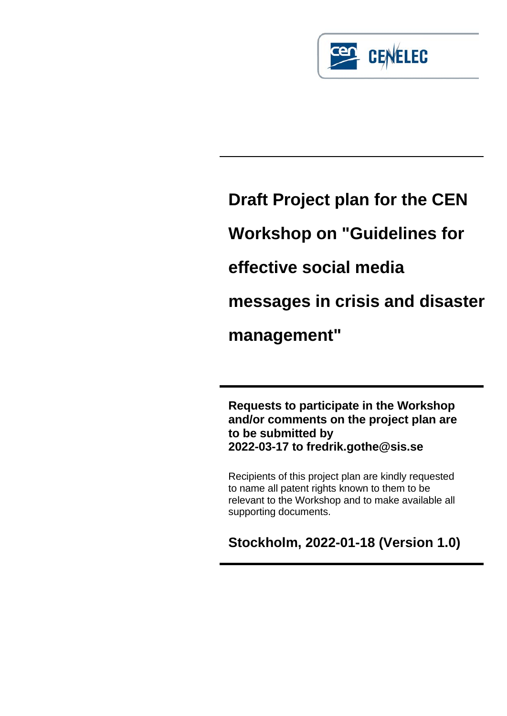

# **Draft Project plan for the CEN Workshop on "Guidelines for effective social media messages in crisis and disaster management"**

**Requests to participate in the Workshop and/or comments on the project plan are to be submitted by 2022-03-17 to fredrik.gothe@sis.se**

Recipients of this project plan are kindly requested to name all patent rights known to them to be relevant to the Workshop and to make available all supporting documents.

**Stockholm, 2022-01-18 (Version 1.0)**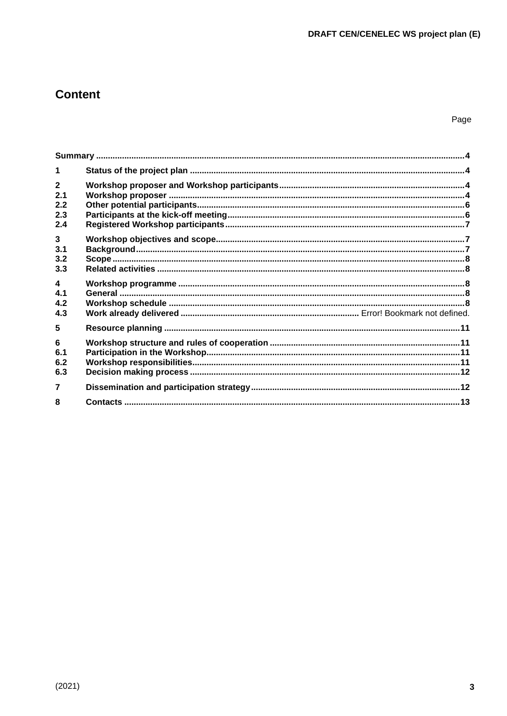## **Content**

| $\mathbf 1$                                  |  |
|----------------------------------------------|--|
| $\overline{2}$<br>2.1<br>2.2<br>2.3<br>2.4   |  |
| $\mathbf{3}$<br>3.1<br>3.2<br>3.3            |  |
| $\overline{\mathbf{4}}$<br>4.1<br>4.2<br>4.3 |  |
| 5                                            |  |
| 6<br>6.1<br>6.2<br>6.3                       |  |
| $\overline{7}$                               |  |
| 8                                            |  |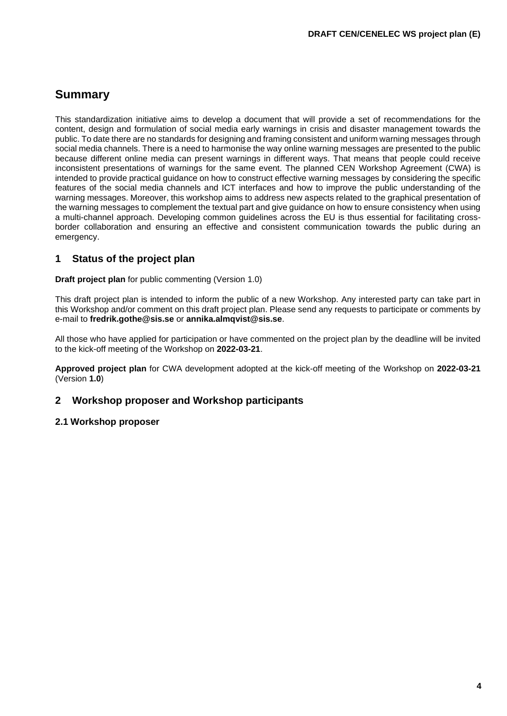## <span id="page-2-0"></span>**Summary**

This standardization initiative aims to develop a document that will provide a set of recommendations for the content, design and formulation of social media early warnings in crisis and disaster management towards the public. To date there are no standards for designing and framing consistent and uniform warning messages through social media channels. There is a need to harmonise the way online warning messages are presented to the public because different online media can present warnings in different ways. That means that people could receive inconsistent presentations of warnings for the same event. The planned CEN Workshop Agreement (CWA) is intended to provide practical guidance on how to construct effective warning messages by considering the specific features of the social media channels and ICT interfaces and how to improve the public understanding of the warning messages. Moreover, this workshop aims to address new aspects related to the graphical presentation of the warning messages to complement the textual part and give guidance on how to ensure consistency when using a multi-channel approach. Developing common guidelines across the EU is thus essential for facilitating crossborder collaboration and ensuring an effective and consistent communication towards the public during an emergency.

## <span id="page-2-1"></span>**1 Status of the project plan**

**Draft project plan** for public commenting (Version 1.0)

This draft project plan is intended to inform the public of a new Workshop. Any interested party can take part in this Workshop and/or comment on this draft project plan. Please send any requests to participate or comments by e-mail to **[fredrik.gothe@sis.se](mailto:fredrik.gothe@sis.se)** or **annika.almqvist@sis.se**.

All those who have applied for participation or have commented on the project plan by the deadline will be invited to the kick-off meeting of the Workshop on **2022-03-21**.

**Approved project plan** for CWA development adopted at the kick-off meeting of the Workshop on **2022-03-21** (Version **1.0**)

## <span id="page-2-2"></span>**2 Workshop proposer and Workshop participants**

#### <span id="page-2-3"></span>**2.1 Workshop proposer**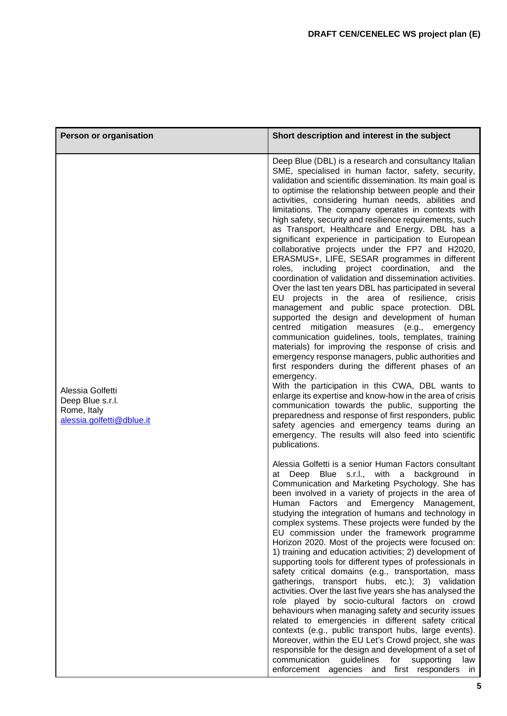| Person or organisation                                                           | Short description and interest in the subject                                                                                                                                                                                                                                                                                                                                                                                                                                                                                                                                                                                                                                                                                                                                                                                                                                                                                                                                                                                                                                                                                                                                                                                                                                                                                                                                                                                                                                                                                                                                                               |
|----------------------------------------------------------------------------------|-------------------------------------------------------------------------------------------------------------------------------------------------------------------------------------------------------------------------------------------------------------------------------------------------------------------------------------------------------------------------------------------------------------------------------------------------------------------------------------------------------------------------------------------------------------------------------------------------------------------------------------------------------------------------------------------------------------------------------------------------------------------------------------------------------------------------------------------------------------------------------------------------------------------------------------------------------------------------------------------------------------------------------------------------------------------------------------------------------------------------------------------------------------------------------------------------------------------------------------------------------------------------------------------------------------------------------------------------------------------------------------------------------------------------------------------------------------------------------------------------------------------------------------------------------------------------------------------------------------|
| Alessia Golfetti<br>Deep Blue s.r.l.<br>Rome, Italy<br>alessia.golfetti@dblue.it | Deep Blue (DBL) is a research and consultancy Italian<br>SME, specialised in human factor, safety, security,<br>validation and scientific dissemination. Its main goal is<br>to optimise the relationship between people and their<br>activities, considering human needs, abilities and<br>limitations. The company operates in contexts with<br>high safety, security and resilience requirements, such<br>as Transport, Healthcare and Energy. DBL has a<br>significant experience in participation to European<br>collaborative projects under the FP7 and H2020,<br>ERASMUS+, LIFE, SESAR programmes in different<br>including project coordination,<br>roles,<br>and<br>the<br>coordination of validation and dissemination activities.<br>Over the last ten years DBL has participated in several<br>EU projects in the area of resilience, crisis<br>management and public space protection. DBL<br>supported the design and development of human<br>centred mitigation measures (e.g., emergency<br>communication guidelines, tools, templates, training<br>materials) for improving the response of crisis and<br>emergency response managers, public authorities and<br>first responders during the different phases of an<br>emergency.<br>With the participation in this CWA, DBL wants to<br>enlarge its expertise and know-how in the area of crisis<br>communication towards the public, supporting the<br>preparedness and response of first responders, public<br>safety agencies and emergency teams during an<br>emergency. The results will also feed into scientific<br>publications. |
|                                                                                  | Alessia Golfetti is a senior Human Factors consultant<br>Deep Blue s.r.l., with a background in<br>at<br>Communication and Marketing Psychology. She has<br>been involved in a variety of projects in the area of<br>Factors and Emergency Management,<br>Human<br>studying the integration of humans and technology in<br>complex systems. These projects were funded by the<br>EU commission under the framework programme<br>Horizon 2020. Most of the projects were focused on:<br>1) training and education activities; 2) development of<br>supporting tools for different types of professionals in<br>safety critical domains (e.g., transportation, mass<br>gatherings, transport hubs, etc.); 3) validation<br>activities. Over the last five years she has analysed the<br>role played by socio-cultural factors on crowd<br>behaviours when managing safety and security issues<br>related to emergencies in different safety critical<br>contexts (e.g., public transport hubs, large events).<br>Moreover, within the EU Let's Crowd project, she was<br>responsible for the design and development of a set of<br>communication<br>guidelines for supporting<br>law<br>enforcement agencies and first responders in                                                                                                                                                                                                                                                                                                                                                                          |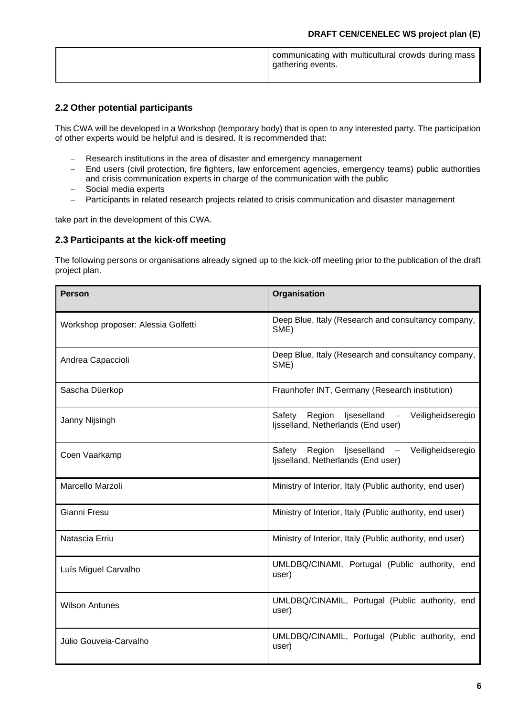|  | communicating with multicultural crowds during mass<br>gathering events. |
|--|--------------------------------------------------------------------------|
|--|--------------------------------------------------------------------------|

## <span id="page-4-0"></span>**2.2 Other potential participants**

This CWA will be developed in a Workshop (temporary body) that is open to any interested party. The participation of other experts would be helpful and is desired. It is recommended that:

- − Research institutions in the area of disaster and emergency management
- − End users (civil protection, fire fighters, law enforcement agencies, emergency teams) public authorities and crisis communication experts in charge of the communication with the public
- − Social media experts
- − Participants in related research projects related to crisis communication and disaster management

take part in the development of this CWA.

#### <span id="page-4-1"></span>**2.3 Participants at the kick-off meeting**

The following persons or organisations already signed up to the kick-off meeting prior to the publication of the draft project plan.

| <b>Person</b>                       | Organisation                                                                                                           |
|-------------------------------------|------------------------------------------------------------------------------------------------------------------------|
| Workshop proposer: Alessia Golfetti | Deep Blue, Italy (Research and consultancy company,<br>SME)                                                            |
| Andrea Capaccioli                   | Deep Blue, Italy (Research and consultancy company,<br>SME)                                                            |
| Sascha Düerkop                      | Fraunhofer INT, Germany (Research institution)                                                                         |
| Janny Nijsingh                      | Region<br>ljseselland -<br>Veiligheidseregio<br>Safety<br>Ijsselland, Netherlands (End user)                           |
| Coen Vaarkamp                       | Region<br>ljseselland<br>Veiligheidseregio<br>Safety<br>$\overline{\phantom{m}}$<br>Ijsselland, Netherlands (End user) |
| Marcello Marzoli                    | Ministry of Interior, Italy (Public authority, end user)                                                               |
| Gianni Fresu                        | Ministry of Interior, Italy (Public authority, end user)                                                               |
| Natascia Erriu                      | Ministry of Interior, Italy (Public authority, end user)                                                               |
| Luís Miguel Carvalho                | UMLDBQ/CINAMI, Portugal (Public authority, end<br>user)                                                                |
| <b>Wilson Antunes</b>               | UMLDBQ/CINAMIL, Portugal (Public authority, end<br>user)                                                               |
| Júlio Gouveia-Carvalho              | UMLDBQ/CINAMIL, Portugal (Public authority, end<br>user)                                                               |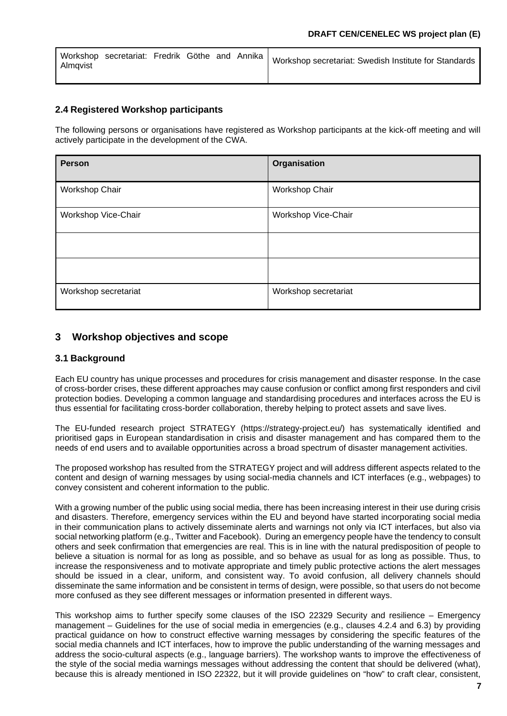| Almavist |  |  | Workshop secretariat: Fredrik Göthe and Annika   Workshop secretariat: Swedish Institute for Standards |
|----------|--|--|--------------------------------------------------------------------------------------------------------|
|          |  |  |                                                                                                        |

## <span id="page-5-0"></span>**2.4 Registered Workshop participants**

The following persons or organisations have registered as Workshop participants at the kick-off meeting and will actively participate in the development of the CWA.

| Person               | Organisation         |
|----------------------|----------------------|
| Workshop Chair       | Workshop Chair       |
| Workshop Vice-Chair  | Workshop Vice-Chair  |
|                      |                      |
|                      |                      |
| Workshop secretariat | Workshop secretariat |

## <span id="page-5-1"></span>**3 Workshop objectives and scope**

## <span id="page-5-2"></span>**3.1 Background**

Each EU country has unique processes and procedures for crisis management and disaster response. In the case of cross-border crises, these different approaches may cause confusion or conflict among first responders and civil protection bodies. Developing a common language and standardising procedures and interfaces across the EU is thus essential for facilitating cross-border collaboration, thereby helping to protect assets and save lives.

The EU-funded research project STRATEGY (https://strategy-project.eu/) has systematically identified and prioritised gaps in European standardisation in crisis and disaster management and has compared them to the needs of end users and to available opportunities across a broad spectrum of disaster management activities.

The proposed workshop has resulted from the STRATEGY project and will address different aspects related to the content and design of warning messages by using social-media channels and ICT interfaces (e.g., webpages) to convey consistent and coherent information to the public.

With a growing number of the public using social media, there has been increasing interest in their use during crisis and disasters. Therefore, emergency services within the EU and beyond have started incorporating social media in their communication plans to actively disseminate alerts and warnings not only via ICT interfaces, but also via social networking platform (e.g., Twitter and Facebook). During an emergency people have the tendency to consult others and seek confirmation that emergencies are real. This is in line with the natural predisposition of people to believe a situation is normal for as long as possible, and so behave as usual for as long as possible. Thus, to increase the responsiveness and to motivate appropriate and timely public protective actions the alert messages should be issued in a clear, uniform, and consistent way. To avoid confusion, all delivery channels should disseminate the same information and be consistent in terms of design, were possible, so that users do not become more confused as they see different messages or information presented in different ways.

This workshop aims to further specify some clauses of the ISO 22329 Security and resilience – Emergency management – Guidelines for the use of social media in emergencies (e.g., clauses 4.2.4 and 6.3) by providing practical guidance on how to construct effective warning messages by considering the specific features of the social media channels and ICT interfaces, how to improve the public understanding of the warning messages and address the socio-cultural aspects (e.g., language barriers). The workshop wants to improve the effectiveness of the style of the social media warnings messages without addressing the content that should be delivered (what), because this is already mentioned in ISO 22322, but it will provide guidelines on "how" to craft clear, consistent,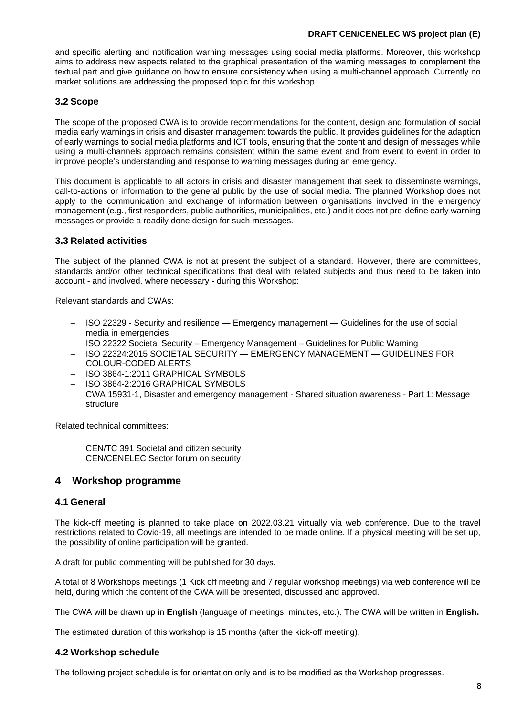#### **DRAFT CEN/CENELEC WS project plan (E)**

and specific alerting and notification warning messages using social media platforms. Moreover, this workshop aims to address new aspects related to the graphical presentation of the warning messages to complement the textual part and give guidance on how to ensure consistency when using a multi-channel approach. Currently no market solutions are addressing the proposed topic for this workshop.

## <span id="page-6-0"></span>**3.2 Scope**

The scope of the proposed CWA is to provide recommendations for the content, design and formulation of social media early warnings in crisis and disaster management towards the public. It provides guidelines for the adaption of early warnings to social media platforms and ICT tools, ensuring that the content and design of messages while using a multi-channels approach remains consistent within the same event and from event to event in order to improve people's understanding and response to warning messages during an emergency.

This document is applicable to all actors in crisis and disaster management that seek to disseminate warnings, call-to-actions or information to the general public by the use of social media. The planned Workshop does not apply to the communication and exchange of information between organisations involved in the emergency management (e.g., first responders, public authorities, municipalities, etc.) and it does not pre-define early warning messages or provide a readily done design for such messages.

## <span id="page-6-1"></span>**3.3 Related activities**

The subject of the planned CWA is not at present the subject of a standard. However, there are committees, standards and/or other technical specifications that deal with related subjects and thus need to be taken into account - and involved, where necessary - during this Workshop:

Relevant standards and CWAs:

- − ISO 22329 Security and resilience Emergency management Guidelines for the use of social media in emergencies
- − ISO 22322 Societal Security Emergency Management Guidelines for Public Warning
- − ISO 22324:2015 SOCIETAL SECURITY EMERGENCY MANAGEMENT GUIDELINES FOR COLOUR-CODED ALERTS
- − ISO 3864-1:2011 GRAPHICAL SYMBOLS
- − ISO 3864-2:2016 GRAPHICAL SYMBOLS
- − CWA 15931-1, Disaster and emergency management Shared situation awareness Part 1: Message structure

Related technical committees:

- − CEN/TC 391 Societal and citizen security
- − CEN/CENELEC Sector forum on security

## <span id="page-6-2"></span>**4 Workshop programme**

#### <span id="page-6-3"></span>**4.1 General**

The kick-off meeting is planned to take place on 2022.03.21 virtually via web conference. Due to the travel restrictions related to Covid-19, all meetings are intended to be made online. If a physical meeting will be set up, the possibility of online participation will be granted.

A draft for public commenting will be published for 30 days.

A total of 8 Workshops meetings (1 Kick off meeting and 7 regular workshop meetings) via web conference will be held, during which the content of the CWA will be presented, discussed and approved.

The CWA will be drawn up in **English** (language of meetings, minutes, etc.). The CWA will be written in **English.**

The estimated duration of this workshop is 15 months (after the kick-off meeting).

#### <span id="page-6-4"></span>**4.2 Workshop schedule**

The following project schedule is for orientation only and is to be modified as the Workshop progresses.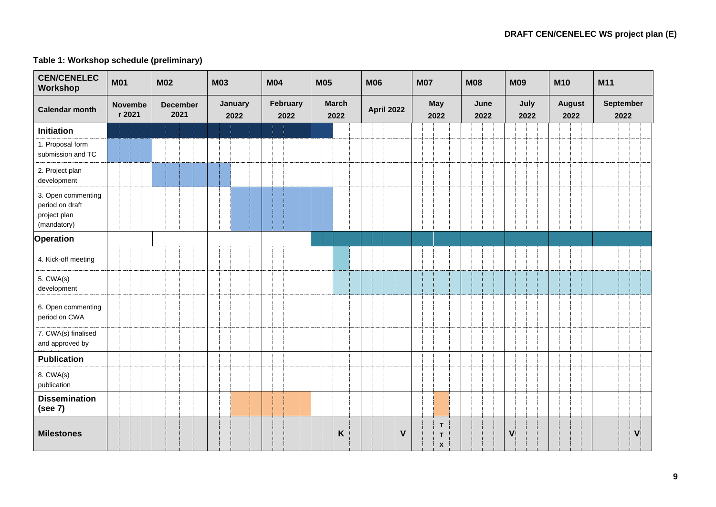## **Table 1: Workshop schedule (preliminary)**

| <b>CEN/CENELEC</b><br>Workshop                                       | <b>M01</b>               | <b>M02</b>              | <b>M03</b>      | <b>M04</b>       | <b>M05</b>           | <b>M06</b>        | <b>M07</b>                                       | <b>M08</b>   | <b>M09</b>   | <b>M10</b>            | M11                      |
|----------------------------------------------------------------------|--------------------------|-------------------------|-----------------|------------------|----------------------|-------------------|--------------------------------------------------|--------------|--------------|-----------------------|--------------------------|
| <b>Calendar month</b>                                                | <b>Novembe</b><br>r 2021 | <b>December</b><br>2021 | January<br>2022 | February<br>2022 | <b>March</b><br>2022 | <b>April 2022</b> | <b>May</b><br>2022                               | June<br>2022 | July<br>2022 | <b>August</b><br>2022 | <b>September</b><br>2022 |
| <b>Initiation</b>                                                    |                          |                         |                 |                  |                      |                   |                                                  |              |              |                       |                          |
| 1. Proposal form<br>submission and TC                                |                          |                         |                 |                  |                      |                   |                                                  |              |              |                       |                          |
| 2. Project plan<br>development                                       |                          |                         |                 |                  |                      |                   |                                                  |              |              |                       |                          |
| 3. Open commenting<br>period on draft<br>project plan<br>(mandatory) |                          |                         |                 |                  |                      |                   |                                                  |              |              |                       |                          |
| <b>Operation</b>                                                     |                          |                         |                 |                  |                      |                   |                                                  |              |              |                       |                          |
| 4. Kick-off meeting                                                  |                          |                         |                 |                  |                      |                   |                                                  |              |              |                       |                          |
| 5. CWA(s)<br>development                                             |                          |                         |                 |                  |                      |                   |                                                  |              |              |                       |                          |
| 6. Open commenting<br>period on CWA                                  |                          |                         |                 |                  |                      |                   |                                                  |              |              |                       |                          |
| 7. CWA(s) finalised<br>and approved by                               |                          |                         |                 |                  |                      |                   |                                                  |              |              |                       |                          |
| <b>Publication</b>                                                   |                          |                         |                 |                  |                      |                   |                                                  |              |              |                       |                          |
| 8. CWA(s)<br>publication                                             |                          |                         |                 |                  |                      |                   |                                                  |              |              |                       |                          |
| <b>Dissemination</b><br>(see 7)                                      |                          |                         |                 |                  |                      |                   |                                                  |              |              |                       |                          |
| <b>Milestones</b>                                                    |                          |                         |                 |                  | Κ                    | $\mathbf V$       | $\mathsf T$<br>$\mathsf T$<br>$\pmb{\mathsf{x}}$ |              | $\mathsf{V}$ |                       | $\mathbf{V}$             |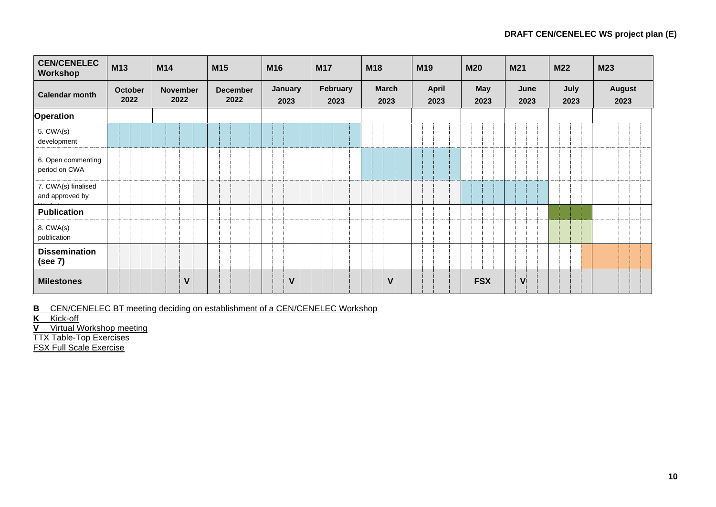| <b>CEN/CENELEC</b><br>Workshop         | M13                    | M14                     | M <sub>15</sub>         | M16             | <b>M17</b>       | M18                  | M <sub>19</sub>      | <b>M20</b>  | M21          | <b>M22</b>   | <b>M23</b>            |
|----------------------------------------|------------------------|-------------------------|-------------------------|-----------------|------------------|----------------------|----------------------|-------------|--------------|--------------|-----------------------|
| <b>Calendar month</b>                  | <b>October</b><br>2022 | <b>November</b><br>2022 | <b>December</b><br>2022 | January<br>2023 | February<br>2023 | <b>March</b><br>2023 | <b>April</b><br>2023 | May<br>2023 | June<br>2023 | July<br>2023 | <b>August</b><br>2023 |
| Operation                              |                        |                         |                         |                 |                  |                      |                      |             |              |              |                       |
| 5. CWA(s)<br>development               |                        |                         |                         |                 |                  |                      |                      |             |              |              |                       |
| 6. Open commenting<br>period on CWA    |                        |                         |                         |                 |                  |                      |                      |             |              |              |                       |
| 7. CWA(s) finalised<br>and approved by |                        |                         |                         |                 |                  |                      |                      |             |              |              |                       |
| <b>Publication</b>                     |                        |                         |                         |                 |                  |                      |                      |             |              |              |                       |
| 8. CWA(s)<br>publication               |                        |                         |                         |                 |                  |                      |                      |             |              |              |                       |
| <b>Dissemination</b><br>(see 7)        |                        |                         |                         |                 |                  |                      |                      |             |              |              |                       |
| <b>Milestones</b>                      |                        | $\mathsf{V}$            |                         | $\mathsf{V}$    |                  | V                    |                      | <b>FSX</b>  | $\mathbf v$  |              |                       |

**B** CEN/CENELEC BT meeting deciding on establishment of a CEN/CENELEC Workshop

**K** Kick-off

**V** Virtual Workshop meeting

TTX Table-Top Exercises

FSX Full Scale Exercise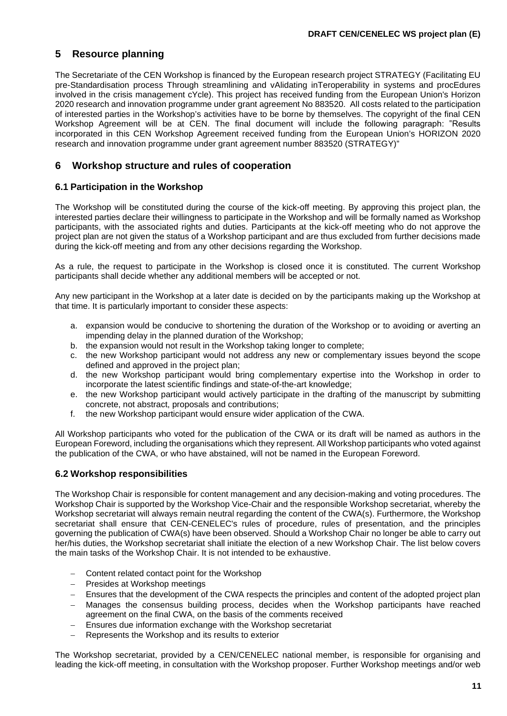## <span id="page-9-0"></span>**5 Resource planning**

The Secretariate of the CEN Workshop is financed by the European research project STRATEGY (Facilitating EU pre-Standardisation process Through streamlining and vAlidating inTeroperability in systems and procEdures involved in the crisis management cYcle). This project has received funding from the European Union's Horizon 2020 research and innovation programme under grant agreement No 883520. All costs related to the participation of interested parties in the Workshop's activities have to be borne by themselves. The copyright of the final CEN Workshop Agreement will be at CEN. The final document will include the following paragraph: "Results incorporated in this CEN Workshop Agreement received funding from the European Union's HORIZON 2020 research and innovation programme under grant agreement number 883520 (STRATEGY)"

## <span id="page-9-1"></span>**6 Workshop structure and rules of cooperation**

## <span id="page-9-2"></span>**6.1 Participation in the Workshop**

The Workshop will be constituted during the course of the kick-off meeting. By approving this project plan, the interested parties declare their willingness to participate in the Workshop and will be formally named as Workshop participants, with the associated rights and duties. Participants at the kick-off meeting who do not approve the project plan are not given the status of a Workshop participant and are thus excluded from further decisions made during the kick-off meeting and from any other decisions regarding the Workshop.

As a rule, the request to participate in the Workshop is closed once it is constituted. The current Workshop participants shall decide whether any additional members will be accepted or not.

Any new participant in the Workshop at a later date is decided on by the participants making up the Workshop at that time. It is particularly important to consider these aspects:

- a. expansion would be conducive to shortening the duration of the Workshop or to avoiding or averting an impending delay in the planned duration of the Workshop;
- b. the expansion would not result in the Workshop taking longer to complete;
- c. the new Workshop participant would not address any new or complementary issues beyond the scope defined and approved in the project plan;
- d. the new Workshop participant would bring complementary expertise into the Workshop in order to incorporate the latest scientific findings and state-of-the-art knowledge;
- e. the new Workshop participant would actively participate in the drafting of the manuscript by submitting concrete, not abstract, proposals and contributions;
- f. the new Workshop participant would ensure wider application of the CWA.

All Workshop participants who voted for the publication of the CWA or its draft will be named as authors in the European Foreword, including the organisations which they represent. All Workshop participants who voted against the publication of the CWA, or who have abstained, will not be named in the European Foreword.

## <span id="page-9-3"></span>**6.2 Workshop responsibilities**

The Workshop Chair is responsible for content management and any decision-making and voting procedures. The Workshop Chair is supported by the Workshop Vice-Chair and the responsible Workshop secretariat, whereby the Workshop secretariat will always remain neutral regarding the content of the CWA(s). Furthermore, the Workshop secretariat shall ensure that CEN-CENELEC's rules of procedure, rules of presentation, and the principles governing the publication of CWA(s) have been observed. Should a Workshop Chair no longer be able to carry out her/his duties, the Workshop secretariat shall initiate the election of a new Workshop Chair. The list below covers the main tasks of the Workshop Chair. It is not intended to be exhaustive.

- Content related contact point for the Workshop
- − Presides at Workshop meetings
- Ensures that the development of the CWA respects the principles and content of the adopted project plan
- Manages the consensus building process, decides when the Workshop participants have reached agreement on the final CWA, on the basis of the comments received
- Ensures due information exchange with the Workshop secretariat
- Represents the Workshop and its results to exterior

The Workshop secretariat, provided by a CEN/CENELEC national member, is responsible for organising and leading the kick-off meeting, in consultation with the Workshop proposer. Further Workshop meetings and/or web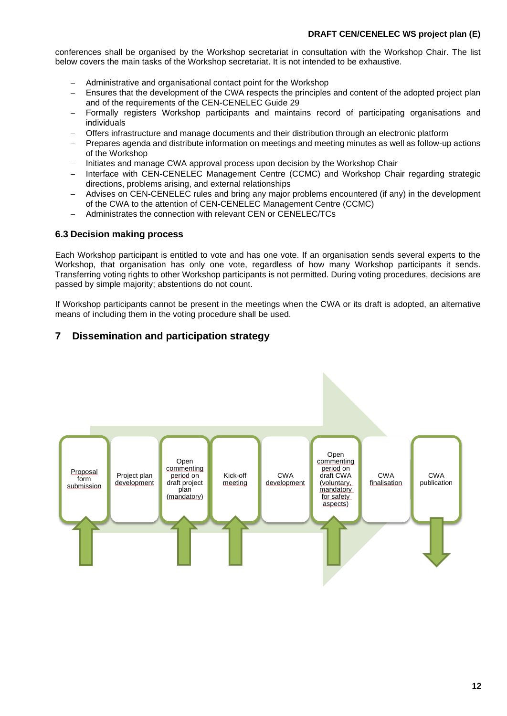#### **DRAFT CEN/CENELEC WS project plan (E)**

conferences shall be organised by the Workshop secretariat in consultation with the Workshop Chair. The list below covers the main tasks of the Workshop secretariat. It is not intended to be exhaustive.

- − Administrative and organisational contact point for the Workshop
- Ensures that the development of the CWA respects the principles and content of the adopted project plan and of the requirements of the CEN-CENELEC Guide 29
- Formally registers Workshop participants and maintains record of participating organisations and individuals
- <span id="page-10-2"></span>− Offers infrastructure and manage documents and their distribution through an electronic platform
- − Prepares agenda and distribute information on meetings and meeting minutes as well as follow-up actions of the Workshop
- − Initiates and manage CWA approval process upon decision by the Workshop Chair
- − Interface with CEN-CENELEC Management Centre (CCMC) and Workshop Chair regarding strategic directions, problems arising, and external relationships
- − Advises on CEN-CENELEC rules and bring any major problems encountered (if any) in the development of the CWA to the attention of CEN-CENELEC Management Centre (CCMC)
- − Administrates the connection with relevant CEN or CENELEC/TCs

#### <span id="page-10-0"></span>**6.3 Decision making process**

Each Workshop participant is entitled to vote and has one vote. If an organisation sends several experts to the Workshop, that organisation has only one vote, regardless of how many Workshop participants it sends. Transferring voting rights to other Workshop participants is not permitted. During voting procedures, decisions are passed by simple majority; abstentions do not count.

If Workshop participants cannot be present in the meetings when the CWA or its draft is adopted, an alternative means of including them in the voting procedure shall be used.

## <span id="page-10-1"></span>**7 Dissemination and participation strategy**

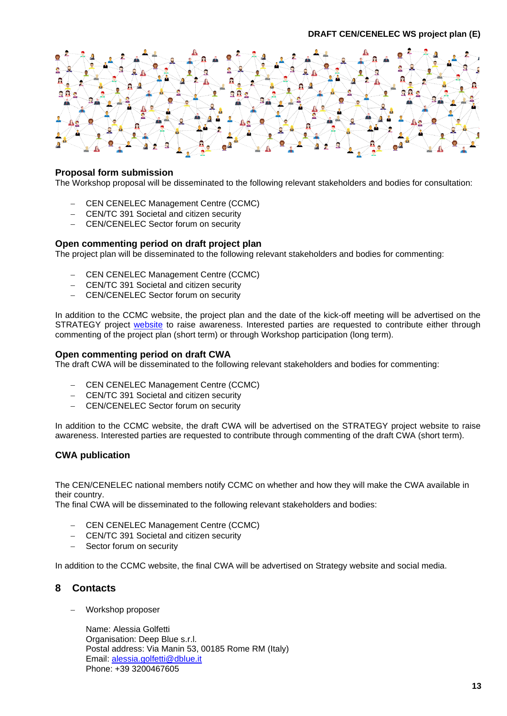

#### **Proposal form submission**

The Workshop proposal will be disseminated to the following relevant stakeholders and bodies for consultation:

- − CEN CENELEC Management Centre (CCMC)
- − CEN/TC 391 Societal and citizen security
- CEN/CENELEC Sector forum on security

#### **Open commenting period on draft project plan**

The project plan will be disseminated to the following relevant stakeholders and bodies for commenting:

- − CEN CENELEC Management Centre (CCMC)
- − CEN/TC 391 Societal and citizen security
- CEN/CENELEC Sector forum on security

In addition to the CCMC website, the project plan and the date of the kick-off meeting will be advertised on the STRATEGY project [website](http://strategy-project.eu/) to raise awareness. Interested parties are requested to contribute either through commenting of the project plan (short term) or through Workshop participation (long term).

#### **Open commenting period on draft CWA**

The draft CWA will be disseminated to the following relevant stakeholders and bodies for commenting:

- − CEN CENELEC Management Centre (CCMC)
- − CEN/TC 391 Societal and citizen security
- − CEN/CENELEC Sector forum on security

In addition to the CCMC website, the draft CWA will be advertised on the STRATEGY project [website](http://strategy-project.eu/) to raise awareness. Interested parties are requested to contribute through commenting of the draft CWA (short term).

#### **CWA publication**

The CEN/CENELEC national members notify CCMC on whether and how they will make the CWA available in their country.

The final CWA will be disseminated to the following relevant stakeholders and bodies:

- − CEN CENELEC Management Centre (CCMC)
- − CEN/TC 391 Societal and citizen security
- Sector forum on security

In addition to the CCMC website, the final CWA will be advertised on Strategy website and social media.

## <span id="page-11-0"></span>**8 Contacts**

− Workshop proposer

Name: Alessia Golfetti Organisation: Deep Blue s.r.l. Postal address: Via Manin 53, 00185 Rome RM (Italy) Email: [alessia.golfetti@dblue.it](mailto:alessia.golfetti@dblue.it) Phone: +39 3200467605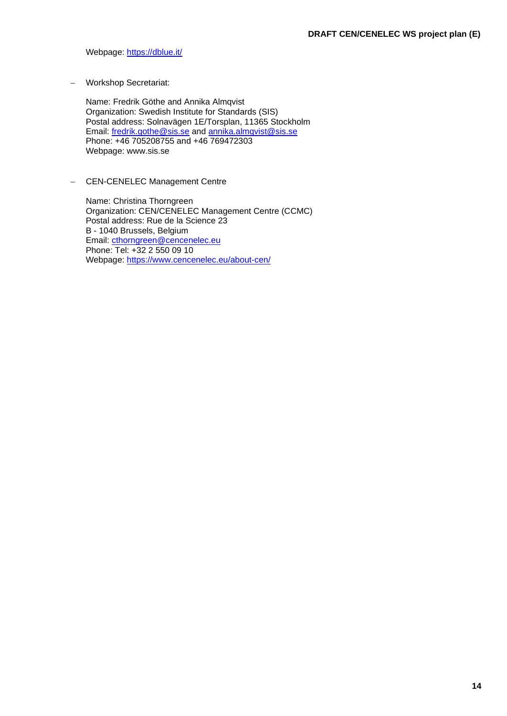Webpage:<https://dblue.it/>

− Workshop Secretariat:

Name: Fredrik Göthe and Annika Almqvist Organization: Swedish Institute for Standards (SIS) Postal address: Solnavägen 1E/Torsplan, 11365 Stockholm Email: [fredrik.gothe@sis.se](mailto:fredrik.gothe@sis.se) and [annika.almqvist@sis.se](mailto:annika.almqvist@sis.se) Phone: +46 705208755 and +46 769472303 Webpage: www.sis.se

− CEN-CENELEC Management Centre

Name: Christina Thorngreen Organization: CEN/CENELEC Management Centre (CCMC) Postal address: Rue de la Science 23 B - 1040 Brussels, Belgium Email: [cthorngreen@cencenelec.eu](mailto:cthorngreen@cencenelec.eu) Phone: Tel: +32 2 550 09 10 Webpage:<https://www.cencenelec.eu/about-cen/>